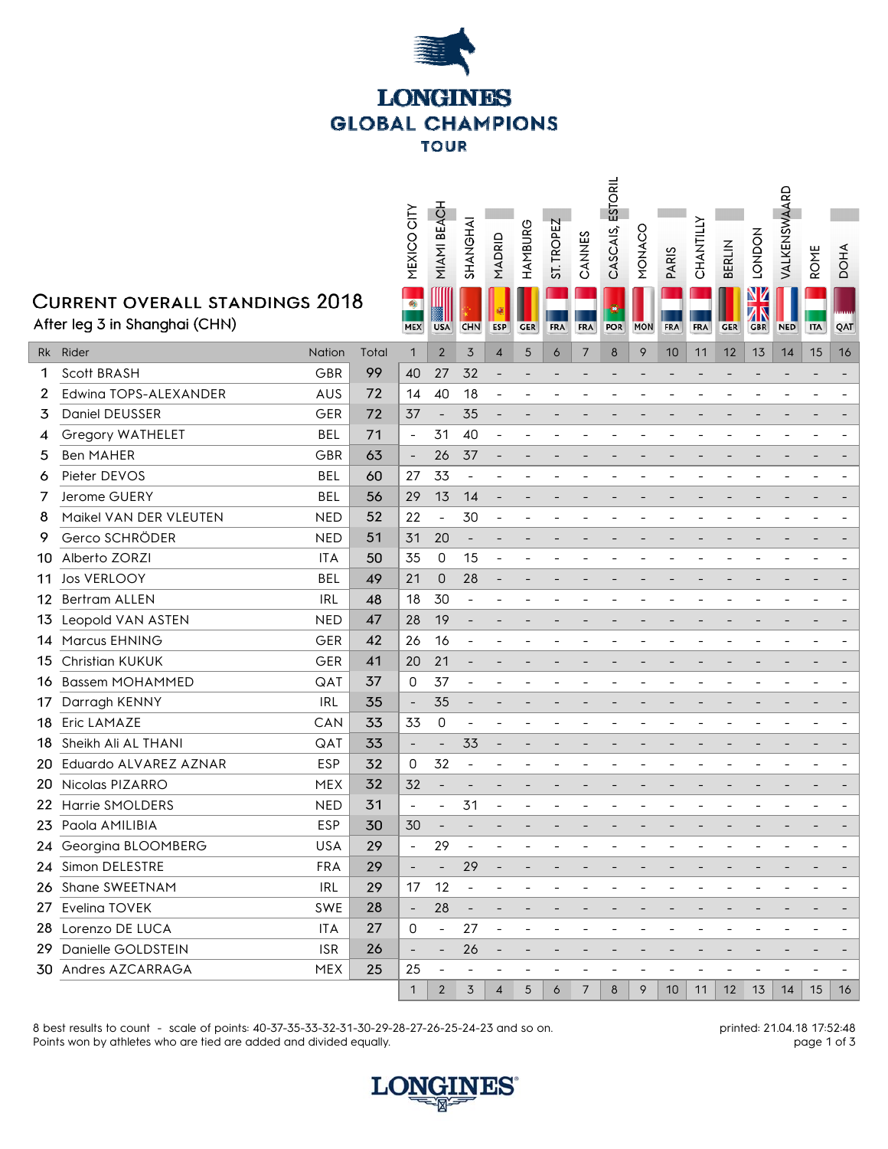

## **CUR**

 $\overline{3}$ 

 $5\phantom{.}$  $\epsilon$ 

 $\bf{8}$  $\mathbf{Q}$ 

|     |                                                                 |            |       | MEXICO CITY                               | MIAMI BEACH              | SHANGHAI                 | MADRID                   | HAMBURG    | ST. TROPEZ | CANNES         | ESTORIL<br>CASCAIS, | MONACO     | <b>PARIS</b>   | CHANTILLY  | <b>BERLIN</b> | <b>HOUNOT</b>         | VALKENSWAARD | <b>ROME</b> | DOHA |
|-----|-----------------------------------------------------------------|------------|-------|-------------------------------------------|--------------------------|--------------------------|--------------------------|------------|------------|----------------|---------------------|------------|----------------|------------|---------------|-----------------------|--------------|-------------|------|
|     | Current overall standings 2018<br>After leg 3 in Shanghai (CHN) |            |       | $\mathcal{L}_{\mathcal{F}}$<br><b>MEX</b> | <b>USA</b>               | <b>CHN</b>               | <b>ESP</b>               | <b>GER</b> | <b>FRA</b> | <b>FRA</b>     | <b>POR</b>          | <b>MON</b> | <b>FRA</b>     | <b>FRA</b> | <b>GER</b>    | NZ<br>7<br><b>GBR</b> | <b>NED</b>   | <b>ITA</b>  | QAT  |
|     | Rk Rider                                                        | Nation     | Total | $\mathbf{1}$                              | $\overline{2}$           | 3                        | $\overline{4}$           | 5          | 6          | $\overline{7}$ | 8                   | 9          | 10             | 11         | 12            | 13                    | 14           | 15          | 16   |
| 1   | Scott BRASH                                                     | GBR        | 99    | 40                                        | 27                       | 32                       |                          |            |            |                |                     |            |                |            |               |                       |              |             |      |
| 2   | Edwing TOPS-ALEXANDER                                           | AUS        | 72    | 14                                        | 40                       | 18                       | $\overline{\phantom{a}}$ |            |            |                |                     |            |                |            |               |                       |              |             |      |
| 3   | Daniel DEUSSER                                                  | <b>GER</b> | 72    | 37                                        | $\overline{\phantom{a}}$ | 35                       | $\overline{\phantom{a}}$ |            |            |                |                     |            |                |            |               |                       |              |             |      |
| 4   | Gregory WATHELET                                                | <b>BEL</b> | 71    | $\overline{\phantom{a}}$                  | 31                       | 40                       |                          |            |            |                |                     |            |                |            |               |                       |              |             |      |
| 5   | <b>Ben MAHER</b>                                                | GBR        | 63    | $\overline{\phantom{a}}$                  | 26                       | 37                       | $\qquad \qquad -$        |            |            |                |                     |            |                |            |               |                       |              |             |      |
| 6   | Pieter DEVOS                                                    | <b>BEL</b> | 60    | 27                                        | 33                       | $\overline{\phantom{a}}$ |                          |            |            |                |                     |            |                |            |               |                       |              |             |      |
| 7   | Jerome GUERY                                                    | <b>BEL</b> | 56    | 29                                        | 13                       | 14                       |                          |            |            |                |                     |            |                |            |               |                       |              |             |      |
| 8   | Maikel VAN DER VLEUTEN                                          | <b>NED</b> | 52    | 22                                        | $\qquad \qquad -$        | 30                       |                          |            |            |                |                     |            |                |            |               |                       |              |             |      |
| 9   | Gerco SCHRÖDER                                                  | <b>NED</b> | 51    | 31                                        | 20                       | $\overline{\phantom{0}}$ |                          |            |            |                |                     |            |                |            |               |                       |              |             |      |
| 10- | Alberto ZORZI                                                   | <b>ITA</b> | 50    | 35                                        | 0                        | 15                       | $\overline{\phantom{a}}$ |            |            |                |                     |            |                |            |               |                       |              |             |      |
| 11  | <b>Jos VERLOOY</b>                                              | <b>BEL</b> | 49    | 21                                        | 0                        | 28                       |                          |            |            |                |                     |            |                |            |               |                       |              |             |      |
| 12  | Bertram ALLEN                                                   | <b>IRL</b> | 48    | 18                                        | 30                       | $\overline{a}$           |                          |            |            |                |                     |            |                |            |               |                       |              |             |      |
|     | 13 Leopold VAN ASTEN                                            | <b>NED</b> | 47    | 28                                        | 19                       |                          |                          |            |            |                |                     |            |                |            |               |                       |              |             |      |
|     | 14 Marcus EHNING                                                | <b>GER</b> | 42    | 26                                        | 16                       |                          |                          |            |            |                |                     |            |                |            |               |                       |              |             |      |
| 15  | <b>Christian KUKUK</b>                                          | GER        | 41    | 20                                        | 21                       |                          |                          |            |            |                |                     |            |                |            |               |                       |              |             |      |
|     | 16 Bassem MOHAMMED                                              | QAT        | 37    | 0                                         | 37                       | $\overline{a}$           |                          |            |            |                |                     |            |                |            |               |                       |              |             |      |
| 17  | Darragh KENNY                                                   | <b>IRL</b> | 35    | $\overline{\phantom{a}}$                  | 35                       |                          |                          |            |            |                |                     |            |                |            |               |                       |              |             |      |
| 18  | <b>Eric LAMAZE</b>                                              | CAN        | 33    | 33                                        | 0                        |                          |                          |            |            |                |                     |            |                |            |               |                       |              |             |      |
|     | 18 Sheikh Ali AL THANI                                          | QAT        | 33    | $\overline{\phantom{a}}$                  |                          | 33                       |                          |            |            |                |                     |            |                |            |               |                       |              |             |      |
|     | 20 Eduardo ALVAREZ AZNAR                                        | <b>ESP</b> | 32    | 0                                         | 32                       | $\overline{a}$           |                          |            |            |                |                     |            |                |            |               |                       |              |             |      |
|     | 20 Nicolas PIZARRO                                              | <b>MEX</b> | 32    | 32                                        |                          |                          |                          |            |            |                |                     |            |                |            |               |                       |              |             |      |
|     | 22 Harrie SMOLDERS                                              | <b>NED</b> | 31    | $\overline{a}$                            | $\overline{\phantom{0}}$ | 31                       |                          |            |            |                |                     |            |                |            |               |                       |              |             |      |
|     | 23 Paola AMILIBIA                                               | ESP        | 30    | 30                                        |                          |                          |                          |            |            |                |                     |            |                |            |               |                       |              |             |      |
|     | 24 Georgina BLOOMBERG                                           | USA        | 29    | $\overline{\phantom{a}}$                  | 29                       | $\overline{\phantom{a}}$ |                          |            |            |                |                     |            |                |            |               |                       |              |             |      |
|     | 24 Simon DELESTRE                                               | <b>FRA</b> | 29    | $\overline{\phantom{a}}$                  | $\overline{\phantom{a}}$ | 29                       |                          |            |            |                |                     |            |                |            |               |                       |              |             |      |
|     | 26 Shane SWEETNAM                                               | <b>IRL</b> | 29    | 17                                        | 12                       | $\overline{\phantom{a}}$ |                          |            |            |                |                     |            |                |            |               |                       |              |             |      |
|     | 27 Evelina TOVEK                                                | <b>SWE</b> | 28    | $\overline{\phantom{a}}$                  | 28                       | $\overline{\phantom{a}}$ |                          |            |            |                |                     |            |                |            |               |                       |              |             |      |
|     | 28 Lorenzo DE LUCA                                              | <b>ITA</b> | 27    | 0                                         | $\overline{\phantom{a}}$ | 27                       | $\overline{\phantom{a}}$ |            |            |                |                     |            |                |            |               |                       |              |             |      |
|     | 29 Danielle GOLDSTEIN                                           | <b>ISR</b> | 26    | $\qquad \qquad -$                         | $\qquad \qquad -$        | 26                       |                          |            |            |                |                     |            |                |            |               |                       |              |             |      |
|     | 30 Andres AZCARRAGA                                             | <b>MEX</b> | 25    | 25                                        | $\overline{a}$           |                          |                          |            |            |                |                     |            | $\overline{a}$ |            |               | -                     |              |             |      |
|     |                                                                 |            |       | 1                                         | $\overline{2}$           | 3                        | $\overline{4}$           | 5          | 6          | $\overline{7}$ | 8                   | 9          | 10             | 11         | 12            | 13                    | 14           | 15          | 16   |
|     |                                                                 |            |       |                                           |                          |                          |                          |            |            |                |                     |            |                |            |               |                       |              |             |      |

8 best results to count - scale of points: 40-37-35-33-32-31-30-29-28-27-26-25-24-23 and so on. Points won by athletes who are tied are added and divided equally.

printed: 21.04.18 17:52:48 page 1 of 3

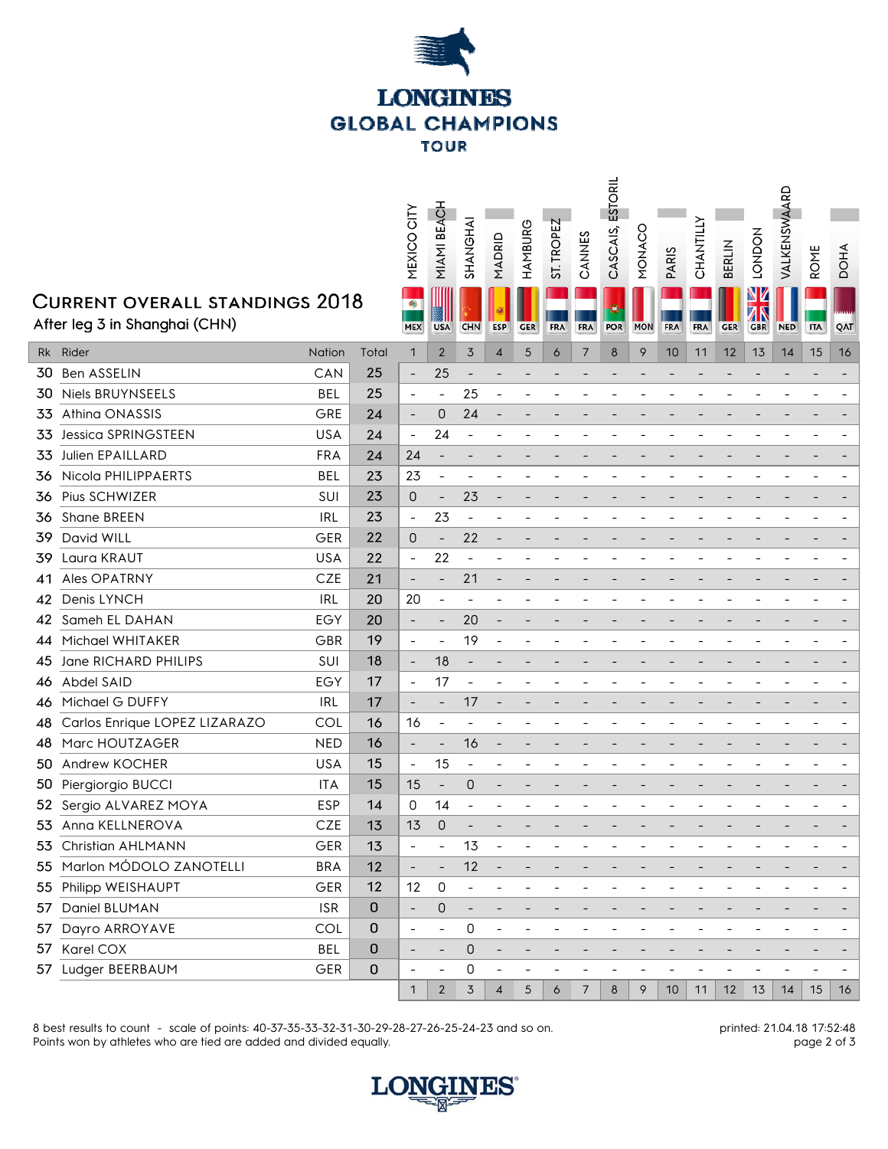

## **CURF**

|                                                                 |                                  |            |             | MEXICO CITY                               | MIAMI BEACH              | SHANGHAI                 | MADRID                   | HAMBURG    | ST. TROPEZ | CANNES         | ESTORIL<br>CASCAIS, | CONNON     | PARIS           | CHANTILLY  | <b>BERLIN</b> | <b>HOUND1</b>          | VALKENSWAARD | <b>ROME</b> | <b>DOHA</b>              |
|-----------------------------------------------------------------|----------------------------------|------------|-------------|-------------------------------------------|--------------------------|--------------------------|--------------------------|------------|------------|----------------|---------------------|------------|-----------------|------------|---------------|------------------------|--------------|-------------|--------------------------|
| Current overall standings 2018<br>After leg 3 in Shanghai (CHN) |                                  |            |             | $\mathcal{L}_{\mathcal{D}}$<br><b>MEX</b> | <b>USA</b>               | <b>CHN</b>               | <b>ESP</b>               | <b>GER</b> | <b>FRA</b> | <b>FRA</b>     | <b>POR</b>          | <b>MON</b> | FRA             | <b>FRA</b> | <b>GER</b>    | NZ<br>ZК<br><b>GBR</b> | <b>NED</b>   | <b>ITA</b>  | QAT                      |
|                                                                 | Rk Rider                         | Nation     | Total       | $\mathbf{1}$                              | $\overline{2}$           | 3                        | 4                        | 5          | 6          | 7              | 8                   | 9          | 10              | 11         | 12            | 13                     | 14           | 15          | 16                       |
| 30.                                                             | Ben ASSELIN                      | CAN        | 25          | $\overline{\phantom{a}}$                  | 25                       |                          |                          |            |            |                |                     |            |                 |            |               |                        |              |             |                          |
|                                                                 | 30 Niels BRUYNSEELS              | <b>BEL</b> | 25          | $\overline{\phantom{a}}$                  | $\overline{\phantom{a}}$ | 25                       | $\overline{\phantom{a}}$ |            |            |                |                     |            |                 |            |               |                        |              |             | $\overline{\phantom{a}}$ |
| 33                                                              | Athina ONASSIS                   | GRE        | 24          | $\overline{\phantom{a}}$                  | 0                        | 24                       |                          |            |            |                |                     |            |                 |            |               |                        |              |             |                          |
| 33                                                              | <b>Jessica SPRINGSTEEN</b>       | <b>USA</b> | 24          | $\qquad \qquad \blacksquare$              | 24                       |                          |                          |            |            |                |                     |            |                 |            |               |                        |              |             |                          |
| 33                                                              | Julien EPAILLARD                 | <b>FRA</b> | 24          | 24                                        |                          |                          |                          |            |            |                |                     |            |                 |            |               |                        |              |             |                          |
|                                                                 | 36 Nicola PHILIPPAERTS           | <b>BEL</b> | 23          | 23                                        | $\overline{\phantom{a}}$ |                          |                          |            |            |                |                     |            |                 |            |               |                        |              |             | $\overline{\phantom{a}}$ |
| 36                                                              | Pius SCHWIZER                    | SUI        | 23          | 0                                         |                          | 23                       |                          |            |            |                |                     |            |                 |            |               |                        |              |             |                          |
|                                                                 | 36 Shane BREEN                   | <b>IRL</b> | 23          | $\overline{\phantom{a}}$                  | 23                       |                          |                          |            |            |                |                     |            |                 |            |               |                        |              |             |                          |
| 39                                                              | David WILL                       | GER        | 22          | 0                                         | $\overline{\phantom{0}}$ | 22                       |                          |            |            |                |                     |            |                 |            |               |                        |              |             |                          |
| 39                                                              | Laura KRAUT                      | <b>USA</b> | 22          | $\overline{\phantom{a}}$                  | 22                       | $\overline{a}$           |                          |            |            |                |                     |            |                 |            |               |                        |              |             |                          |
| 41                                                              | Ales OPATRNY                     | <b>CZE</b> | 21          | $\overline{\phantom{a}}$                  |                          | 21                       |                          |            |            |                |                     |            |                 |            |               |                        |              |             |                          |
|                                                                 | 42 Denis LYNCH                   | <b>IRL</b> | 20          | 20                                        | $\overline{\phantom{a}}$ |                          |                          |            |            |                |                     |            |                 |            |               |                        |              |             |                          |
|                                                                 | 42 Sameh EL DAHAN                | EGY        | 20          | $\overline{\phantom{a}}$                  | $\overline{\phantom{a}}$ | 20                       | $\overline{\phantom{a}}$ |            |            |                |                     |            |                 |            |               |                        |              |             |                          |
|                                                                 | 44 Michael WHITAKER              | GBR        | 19          | $\blacksquare$                            | $\overline{\phantom{a}}$ | 19                       | $\overline{a}$           |            |            |                |                     |            |                 |            |               |                        |              |             |                          |
| 45                                                              | Jane RICHARD PHILIPS             | SUI        | 18          | $\overline{\phantom{a}}$                  | 18                       |                          |                          |            |            |                |                     |            |                 |            |               |                        |              |             |                          |
|                                                                 | 46 Abdel SAID                    | EGY        | 17          | $\overline{\phantom{a}}$                  | 17                       | $\overline{\phantom{a}}$ |                          |            |            |                |                     |            |                 |            |               |                        |              |             |                          |
|                                                                 | 46 Michael G DUFFY               | <b>IRL</b> | 17          | $\overline{\phantom{a}}$                  | $\overline{\phantom{a}}$ | 17                       |                          |            |            |                |                     |            |                 |            |               |                        |              |             |                          |
|                                                                 | 48 Carlos Enrique LOPEZ LIZARAZO | COL        | 16          | 16                                        |                          |                          |                          |            |            |                |                     |            |                 |            |               |                        |              |             | -                        |
|                                                                 | 48 Marc HOUTZAGER                | <b>NED</b> | 16          | $\overline{\phantom{a}}$                  |                          | 16                       |                          |            |            |                |                     |            |                 |            |               |                        |              |             |                          |
| 50                                                              | Andrew KOCHER                    | <b>USA</b> | 15          | $\qquad \qquad \blacksquare$              | 15                       | $\blacksquare$           |                          |            |            |                |                     |            |                 |            |               |                        |              |             |                          |
|                                                                 | 50 Piergiorgio BUCCI             | <b>ITA</b> | 15          | 15                                        | $\overline{\phantom{a}}$ | 0                        | $\overline{\phantom{a}}$ |            |            |                |                     |            |                 |            |               |                        |              |             |                          |
|                                                                 | 52 Sergio ALVAREZ MOYA           | ESP        | 14          | 0                                         | 14                       |                          |                          |            |            |                |                     |            |                 |            |               |                        |              |             |                          |
|                                                                 | 53 Anna KELLNEROVA               | CZE        | 13          | 13                                        | $\mathsf O$              |                          |                          |            |            |                |                     |            |                 |            |               |                        |              |             |                          |
|                                                                 | 53 Christian AHLMANN             | GER        | 13          | $\overline{\phantom{a}}$                  | $\overline{\phantom{a}}$ | 13                       | $\overline{\phantom{a}}$ |            |            |                |                     |            |                 |            |               |                        |              |             | Ξ.                       |
|                                                                 | 55 Marlon MÓDOLO ZANOTELLI       | <b>BRA</b> | 12          | $\overline{\phantom{a}}$                  | $\overline{\phantom{a}}$ | 12                       | $\overline{\phantom{a}}$ |            |            |                |                     |            |                 |            |               |                        |              |             |                          |
|                                                                 | 55 Philipp WEISHAUPT             | GER        | 12          | 12                                        | $\mathsf 0$              |                          |                          |            |            |                |                     |            |                 |            |               |                        |              |             | -                        |
|                                                                 | 57 Daniel BLUMAN                 | <b>ISR</b> | $\mathbf 0$ | $\overline{\phantom{a}}$                  | 0                        | $\overline{\phantom{a}}$ |                          |            |            |                |                     |            |                 |            |               |                        |              |             | -                        |
|                                                                 | 57 Dayro ARROYAVE                | COL        | 0           | $\qquad \qquad \blacksquare$              | $\overline{\phantom{a}}$ | 0                        | $\overline{\phantom{a}}$ |            |            |                |                     |            |                 |            |               |                        |              |             | -                        |
|                                                                 | 57 Karel COX                     | <b>BEL</b> | 0           | $\qquad \qquad \blacksquare$              |                          | 0                        |                          |            |            |                |                     |            |                 |            |               |                        |              |             | -                        |
|                                                                 | 57 Ludger BEERBAUM               | GER        | 0           | $\overline{\phantom{a}}$                  | $\overline{\phantom{a}}$ | 0                        | $\overline{a}$           |            |            |                |                     |            |                 |            |               |                        |              |             |                          |
|                                                                 |                                  |            |             | $\mathbf{1}$                              | $\overline{2}$           | 3                        | $\overline{4}$           | 5          | 6          | $\overline{7}$ | 8                   | 9          | 10 <sup>°</sup> | 11         | 12            | 13                     | 14           | 15          | 16                       |
|                                                                 |                                  |            |             |                                           |                          |                          |                          |            |            |                |                     |            |                 |            |               |                        |              |             |                          |

8 best results to count - scale of points: 40-37-35-33-32-31-30-29-28-27-26-25-24-23 and so on. Points won by athletes who are tied are added and divided equally.

printed: 21.04.18 17:52:48 page 2 of 3